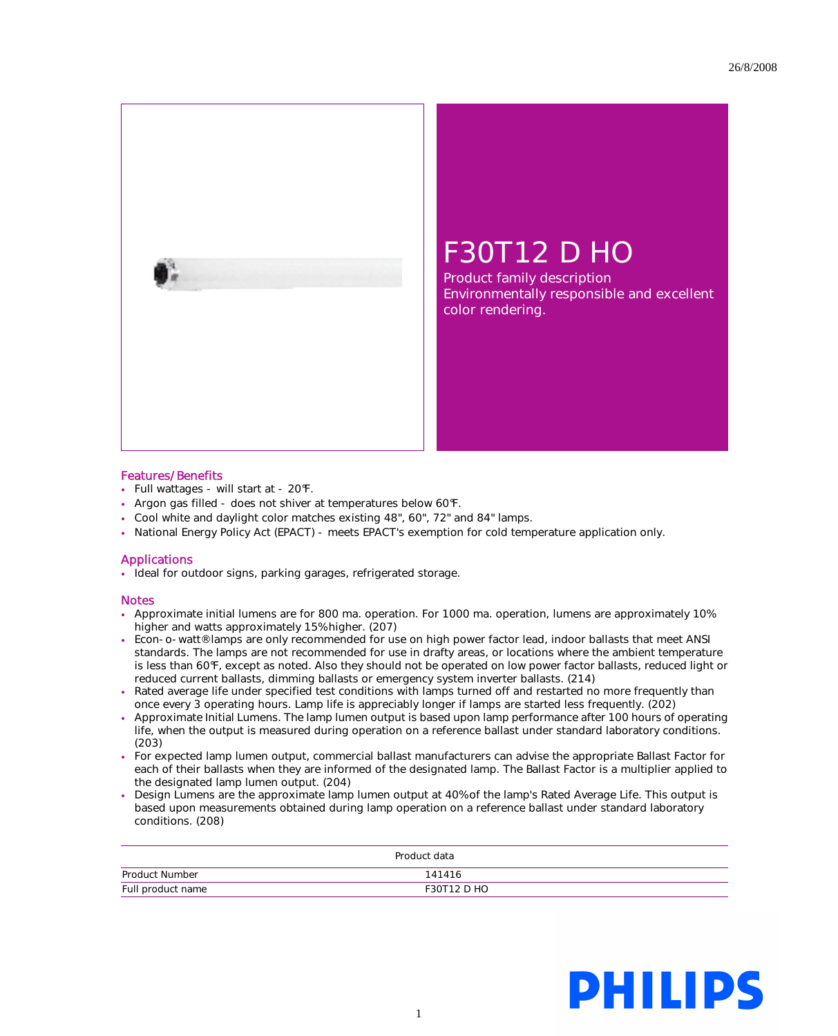

## F30T12 D HO

Product family description Environmentally responsible and excellent color rendering.

## Features/Benefits

- Full wattages will start at 20°F.
- Argon gas filled does not shiver at temperatures below 60°F.
- Cool white and daylight color matches existing 48", 60", 72" and 84" lamps.
- National Energy Policy Act (EPACT) meets EPACT's exemption for cold temperature application only.

## Applications

• Ideal for outdoor signs, parking garages, refrigerated storage.

## Notes

- Approximate initial lumens are for 800 ma. operation. For 1000 ma. operation, lumens are approximately 10% higher and watts approximately 15% higher. (207)
- Econ-o-watt® lamps are only recommended for use on high power factor lead, indoor ballasts that meet ANSI standards. The lamps are not recommended for use in drafty areas, or locations where the ambient temperature is less than 60°F, except as noted. Also they should not be operated on low power factor ballasts, reduced light or reduced current ballasts, dimming ballasts or emergency system inverter ballasts. (214)
- Rated average life under specified test conditions with lamps turned off and restarted no more frequently than once every 3 operating hours. Lamp life is appreciably longer if lamps are started less frequently. (202)
- Approximate Initial Lumens. The lamp lumen output is based upon lamp performance after 100 hours of operating life, when the output is measured during operation on a reference ballast under standard laboratory conditions. (203)
- For expected lamp lumen output, commercial ballast manufacturers can advise the appropriate Ballast Factor for each of their ballasts when they are informed of the designated lamp. The Ballast Factor is a multiplier applied to the designated lamp lumen output. (204)
- Design Lumens are the approximate lamp lumen output at 40% of the lamp's Rated Average Life. This output is based upon measurements obtained during lamp operation on a reference ballast under standard laboratory conditions. (208)

| Product data      |                    |
|-------------------|--------------------|
| Product Number    | 141416             |
| Full product name | <b>F30T12 D HO</b> |